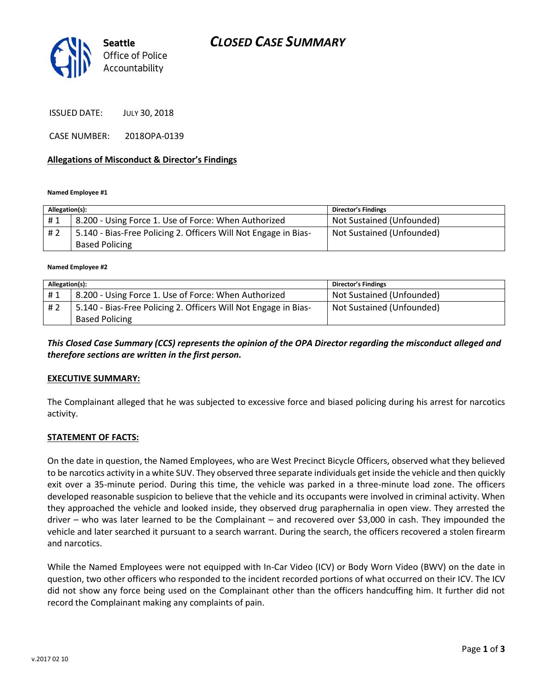

ISSUED DATE: JULY 30, 2018

CASE NUMBER: 2018OPA-0139

#### **Allegations of Misconduct & Director's Findings**

**Named Employee #1**

| Allegation(s): |                                                                 | <b>Director's Findings</b> |
|----------------|-----------------------------------------------------------------|----------------------------|
| #1             | 8.200 - Using Force 1. Use of Force: When Authorized            | Not Sustained (Unfounded)  |
| # 2            | 5.140 - Bias-Free Policing 2. Officers Will Not Engage in Bias- | Not Sustained (Unfounded)  |
|                | <b>Based Policing</b>                                           |                            |

#### **Named Employee #2**

| Allegation(s): |                                                                 | <b>Director's Findings</b> |
|----------------|-----------------------------------------------------------------|----------------------------|
| #1             | 8.200 - Using Force 1. Use of Force: When Authorized            | Not Sustained (Unfounded)  |
| # 2            | 5.140 - Bias-Free Policing 2. Officers Will Not Engage in Bias- | Not Sustained (Unfounded)  |
|                | <b>Based Policing</b>                                           |                            |

*This Closed Case Summary (CCS) represents the opinion of the OPA Director regarding the misconduct alleged and therefore sections are written in the first person.* 

#### **EXECUTIVE SUMMARY:**

The Complainant alleged that he was subjected to excessive force and biased policing during his arrest for narcotics activity.

#### **STATEMENT OF FACTS:**

On the date in question, the Named Employees, who are West Precinct Bicycle Officers, observed what they believed to be narcotics activity in a white SUV. They observed three separate individuals get inside the vehicle and then quickly exit over a 35-minute period. During this time, the vehicle was parked in a three-minute load zone. The officers developed reasonable suspicion to believe that the vehicle and its occupants were involved in criminal activity. When they approached the vehicle and looked inside, they observed drug paraphernalia in open view. They arrested the driver – who was later learned to be the Complainant – and recovered over \$3,000 in cash. They impounded the vehicle and later searched it pursuant to a search warrant. During the search, the officers recovered a stolen firearm and narcotics.

While the Named Employees were not equipped with In-Car Video (ICV) or Body Worn Video (BWV) on the date in question, two other officers who responded to the incident recorded portions of what occurred on their ICV. The ICV did not show any force being used on the Complainant other than the officers handcuffing him. It further did not record the Complainant making any complaints of pain.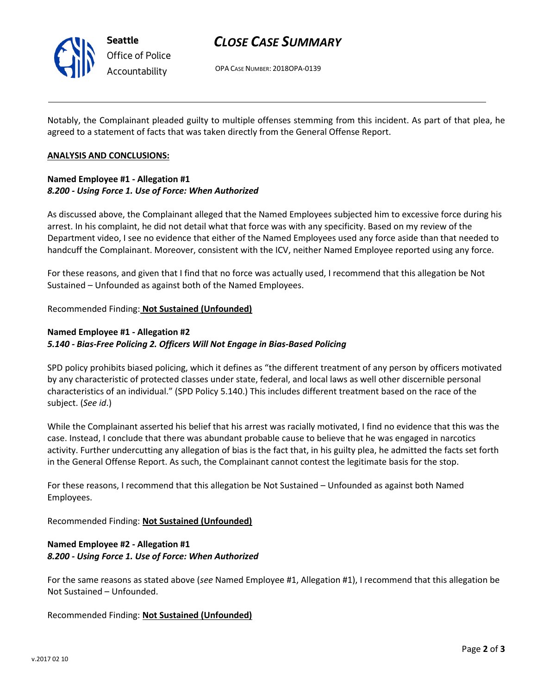

# *CLOSE CASE SUMMARY*

OPA CASE NUMBER: 2018OPA-0139

Notably, the Complainant pleaded guilty to multiple offenses stemming from this incident. As part of that plea, he agreed to a statement of facts that was taken directly from the General Offense Report.

### **ANALYSIS AND CONCLUSIONS:**

## **Named Employee #1 - Allegation #1** *8.200 - Using Force 1. Use of Force: When Authorized*

As discussed above, the Complainant alleged that the Named Employees subjected him to excessive force during his arrest. In his complaint, he did not detail what that force was with any specificity. Based on my review of the Department video, I see no evidence that either of the Named Employees used any force aside than that needed to handcuff the Complainant. Moreover, consistent with the ICV, neither Named Employee reported using any force.

For these reasons, and given that I find that no force was actually used, I recommend that this allegation be Not Sustained – Unfounded as against both of the Named Employees.

Recommended Finding: **Not Sustained (Unfounded)**

# **Named Employee #1 - Allegation #2** *5.140 - Bias-Free Policing 2. Officers Will Not Engage in Bias-Based Policing*

SPD policy prohibits biased policing, which it defines as "the different treatment of any person by officers motivated by any characteristic of protected classes under state, federal, and local laws as well other discernible personal characteristics of an individual." (SPD Policy 5.140.) This includes different treatment based on the race of the subject. (*See id*.)

While the Complainant asserted his belief that his arrest was racially motivated, I find no evidence that this was the case. Instead, I conclude that there was abundant probable cause to believe that he was engaged in narcotics activity. Further undercutting any allegation of bias is the fact that, in his guilty plea, he admitted the facts set forth in the General Offense Report. As such, the Complainant cannot contest the legitimate basis for the stop.

For these reasons, I recommend that this allegation be Not Sustained – Unfounded as against both Named Employees.

Recommended Finding: **Not Sustained (Unfounded)**

### **Named Employee #2 - Allegation #1** *8.200 - Using Force 1. Use of Force: When Authorized*

For the same reasons as stated above (*see* Named Employee #1, Allegation #1), I recommend that this allegation be Not Sustained – Unfounded.

Recommended Finding: **Not Sustained (Unfounded)**